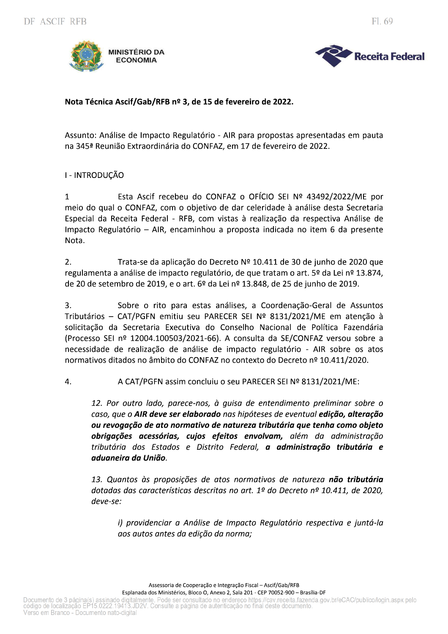

Fl. 69

## Nota Técnica Ascif/Gab/RFB nº 3, de 15 de fevereiro de 2022.

Assunto: Análise de Impacto Regulatório - AIR para propostas apresentadas em pauta na 345ª Reunião Extraordinária do CONFAZ, em 17 de fevereiro de 2022.

### I - INTRODUCÃO

Esta Ascif recebeu do CONFAZ o OFÍCIO SEI Nº 43492/2022/ME por  $\mathbf{1}$ meio do qual o CONFAZ, com o objetivo de dar celeridade à análise desta Secretaria Especial da Receita Federal - RFB, com vistas à realização da respectiva Análise de Impacto Regulatório - AIR, encaminhou a proposta indicada no item 6 da presente Nota.

 $2.$ Trata-se da aplicação do Decreto Nº 10.411 de 30 de junho de 2020 que regulamenta a análise de impacto regulatório, de que tratam o art. 5º da Lei nº 13.874, de 20 de setembro de 2019, e o art. 6º da Lei nº 13.848, de 25 de junho de 2019.

3. Sobre o rito para estas análises, a Coordenação-Geral de Assuntos Tributários - CAT/PGFN emitiu seu PARECER SEI Nº 8131/2021/ME em atenção à solicitação da Secretaria Executiva do Conselho Nacional de Política Fazendária (Processo SEI nº 12004.100503/2021-66). A consulta da SE/CONFAZ versou sobre a necessidade de realização de análise de impacto regulatório - AIR sobre os atos normativos ditados no âmbito do CONFAZ no contexto do Decreto nº 10.411/2020.

 $\overline{4}$ . A CAT/PGFN assim concluiu o seu PARECER SEI Nº 8131/2021/ME:

12. Por outro lado, parece-nos, à quisa de entendimento preliminar sobre o caso, que o AIR deve ser elaborado nas hipóteses de eventual edição, alteração ou revogação de ato normativo de natureza tributária que tenha como objeto obrigações acessórias, cujos efeitos envolvam, além da administração tributária dos Estados e Distrito Federal, a administração tributária e aduaneira da União.

13. Quantos às proposições de atos normativos de natureza não tributária dotadas das características descritas no art. 1º do Decreto nº 10.411, de 2020,  $deve-se$ :

i) providenciar a Análise de Impacto Regulatório respectiva e juntá-la aos autos antes da edição da norma;

Assessoria de Cooperação e Integração Fiscal - Ascif/Gab/RFB

Esplanada dos Ministérios, Bloco O, Anexo 2, Sala 201 - CEP 70052-900 - Brasília-DF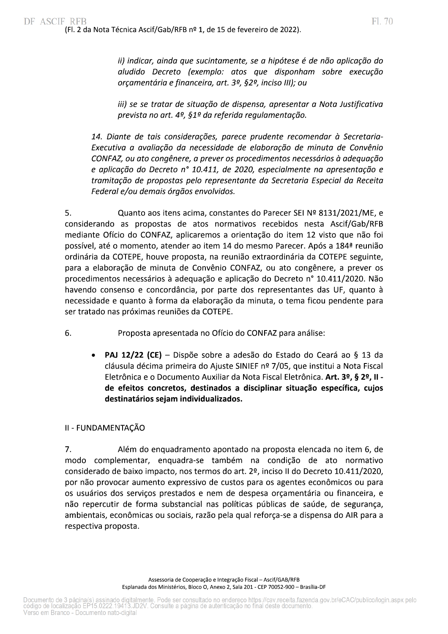ii) indicar, ainda que sucintamente, se a hipótese é de não aplicação do aludido Decreto (exemplo: atos que disponham sobre execução orçamentária e financeira, art. 3º, §2º, inciso III); ou

iii) se se tratar de situação de dispensa, apresentar a Nota Justificativa prevista no art. 4º, §1º da referida regulamentação.

14. Diante de tais considerações, parece prudente recomendar à Secretaria-Executiva a avaliação da necessidade de elaboração de minuta de Convênio CONFAZ, ou ato congênere, a prever os procedimentos necessários à adequação e aplicação do Decreto nº 10.411, de 2020, especialmente na apresentação e tramitação de propostas pelo representante da Secretaria Especial da Receita Federal e/ou demais órgãos envolvidos.

 $\mathsf{S}$ . Quanto aos itens acima, constantes do Parecer SEI Nº 8131/2021/ME, e considerando as propostas de atos normativos recebidos nesta Ascif/Gab/RFB mediante Oficio do CONFAZ, aplicaremos a orientação do item 12 visto que não foi possivel, até o momento, atender ao item 14 do mesmo Parecer. Apos a 184ª reunião ordinaria da COTEPE, houve proposta, na reunião extraordinaria da COTEPE seguinte, para a elaboração de minuta de Convenio CONFAZ, ou ato congenere, a prever os procedimentos necessarios a adequação e aplicação do Decreto n° 10.411/2020. Não havendo consenso e concordancia, por parte dos representantes das UF, quanto a necessidade e quanto a forma da elaboração da minuta, o tema ficou pendente para ser tratado nas proximas reuniões da COTEPE.

- 6. Proposta apresentada no Oficio do CONFAZ para analise:
- de a elaboração de filmitada de Converno Convexa, ou ato<br>
ocedimentos necessários à adequação e aplicação do Decre<br>
vendo consenso e concordância, por parte dos represent<br>
cessidade e quanto à forma da elaboração da minut • PAJ 12/22 (CE) – Dispõe sobre a adesão do Estado do Ceará ao § 13 da clausula decima primeira do Ajuste SINIEF nº 7/05, que institui a Nota Fiscal  $\,$ Eletronica e o Documento Auxiliar da Nota Fiscal Eletronica. **Art. 3º, § 2º, II** de efeitos concretos, destinados a disciplinar situação específica, cujos destinatários sejam individualizados.

# II - FUNDAMENTAÇÃO

/. Aler em do enquadramento apontado na proposta elencada no item 6, de modo complementar, enquadra-se tambem na condição de ato normativo considerado de baixo impacto, nos termos do art. 2º, inciso II do Decreto  $10.411/2020$ , por nao provocar aumento expressivo de custos para os agentes economicos ou para os usuarios dos serviços prestados e nem de despesa orçamentaria ou financeira, e nao repercutir de forma substancial nas políticas publicas de saude, de segurança, ambientais, economicas ou sociais, razão pela qual reforça-se a dispensa do AIR para a respectiva proposta.

> Assessoria de Cooperação e Integração Fiscal – Esplanada dos Ministerios, Bloco O, Anexo 2, Sala 201 - CEP 70052-900 – Brasilia-DF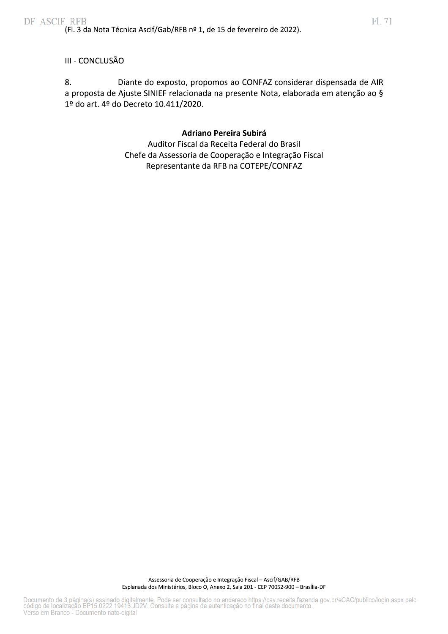### III - CONCLUSÃO

8. Diante do exposto, propomos ao CONFAZ considerar dispensada de AIR a proposta de Ajuste SINIEF relacionada na presente Nota, elaborada em atenção ao § 1º do art. 4º do Decreto 10.411/2020.

### **Adriano Pereira Subirá**

Auditor Fiscal da Receita Federal do Brasil Chefe da Assessoria de Cooperação e Integração Fiscal Representante da RFB na COTEPE/CONFAZ